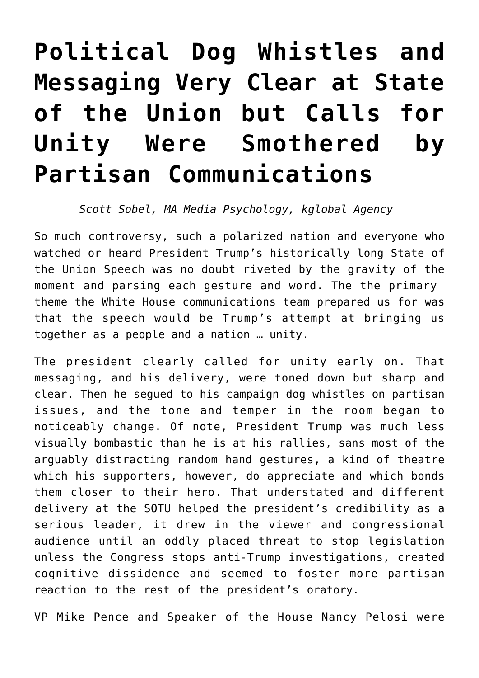## **[Political Dog Whistles and](https://www.commpro.biz/political-dog-whistles-and-messaging-very-clear-at-state-of-the-union-but-calls-for-unity-were-smothered-by-partisan-communications/) [Messaging Very Clear at State](https://www.commpro.biz/political-dog-whistles-and-messaging-very-clear-at-state-of-the-union-but-calls-for-unity-were-smothered-by-partisan-communications/) [of the Union but Calls for](https://www.commpro.biz/political-dog-whistles-and-messaging-very-clear-at-state-of-the-union-but-calls-for-unity-were-smothered-by-partisan-communications/) [Unity Were Smothered by](https://www.commpro.biz/political-dog-whistles-and-messaging-very-clear-at-state-of-the-union-but-calls-for-unity-were-smothered-by-partisan-communications/) [Partisan Communications](https://www.commpro.biz/political-dog-whistles-and-messaging-very-clear-at-state-of-the-union-but-calls-for-unity-were-smothered-by-partisan-communications/)**

## *Scott Sobel, MA Media Psychology, [kglobal Agency](https://www.kglobal.com/team-member/scott-sobel/)*

So much controversy, such a polarized nation and everyone who watched or heard President Trump's historically long [State of](https://www.google.com/search?q=state+of+the+union&rlz=1C1CHZL_enUS705US705&source=lnms&tbm=nws&sa=X&ved=0ahUKEwiUgNCmi6fgAhVOmeAKHbgQCGkQ_AUIDigB&biw=1920&bih=938) [the Union Speech](https://www.google.com/search?q=state+of+the+union&rlz=1C1CHZL_enUS705US705&source=lnms&tbm=nws&sa=X&ved=0ahUKEwiUgNCmi6fgAhVOmeAKHbgQCGkQ_AUIDigB&biw=1920&bih=938) was no doubt riveted by the gravity of the moment and parsing each gesture and word. The the primary theme the White House communications team prepared us for was that the speech would be Trump's attempt at bringing us together as a people and a nation … unity.

The president clearly called for unity early on. That messaging, and his delivery, were toned down but sharp and clear. Then he segued to his campaign dog whistles on partisan issues, and the tone and temper in the room began to noticeably change. Of note, President Trump was much less visually bombastic than he is at his rallies, sans most of the arguably distracting random hand gestures, a kind of theatre which his supporters, however, do appreciate and which bonds them closer to their hero. That understated and different delivery at the SOTU helped the president's credibility as a serious leader, it drew in the viewer and congressional audience until an oddly placed threat to stop legislation unless the Congress stops anti-Trump investigations, created cognitive dissidence and seemed to foster more partisan reaction to the rest of the president's oratory.

VP Mike Pence and Speaker of the House Nancy Pelosi were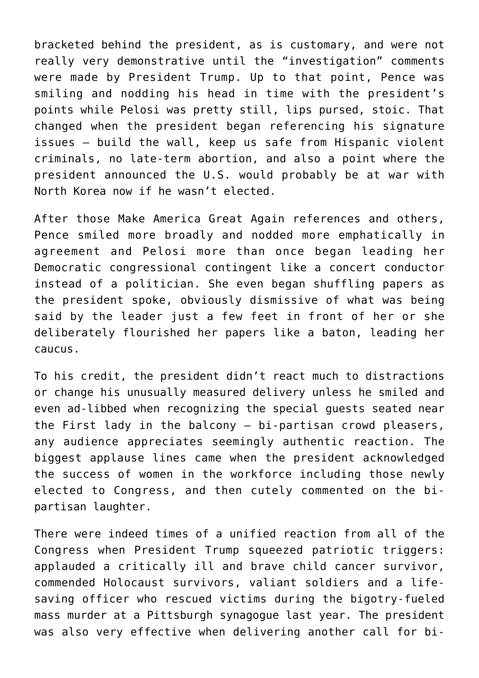bracketed behind the president, as is customary, and were not really very demonstrative until the "investigation" comments were made by President Trump. Up to that point, Pence was smiling and nodding his head in time with the president's points while Pelosi was pretty still, lips pursed, stoic. That changed when the president began referencing his signature issues – build the wall, keep us safe from Hispanic violent criminals, no late-term abortion, and also a point where the president announced the U.S. would probably be at war with North Korea now if he wasn't elected.

After those Make America Great Again references and others, Pence smiled more broadly and nodded more emphatically in agreement and Pelosi more than once began leading her Democratic congressional contingent like a concert conductor instead of a politician. She even began shuffling papers as the president spoke, obviously dismissive of what was being said by the leader just a few feet in front of her or she deliberately flourished her papers like a baton, leading her caucus.

To his credit, the president didn't react much to distractions or change his unusually measured delivery unless he smiled and even ad-libbed when recognizing the special guests seated near the First lady in the balcony – bi-partisan crowd pleasers, any audience appreciates seemingly authentic reaction. The biggest applause lines came when the president acknowledged the success of women in the workforce including those newly elected to Congress, and then cutely commented on the bipartisan laughter.

There were indeed times of a unified reaction from all of the Congress when President Trump squeezed patriotic triggers: applauded a critically ill and brave child cancer survivor, commended Holocaust survivors, valiant soldiers and a lifesaving officer who rescued victims during the bigotry-fueled mass murder at a Pittsburgh synagogue last year. The president was also very effective when delivering another call for bi